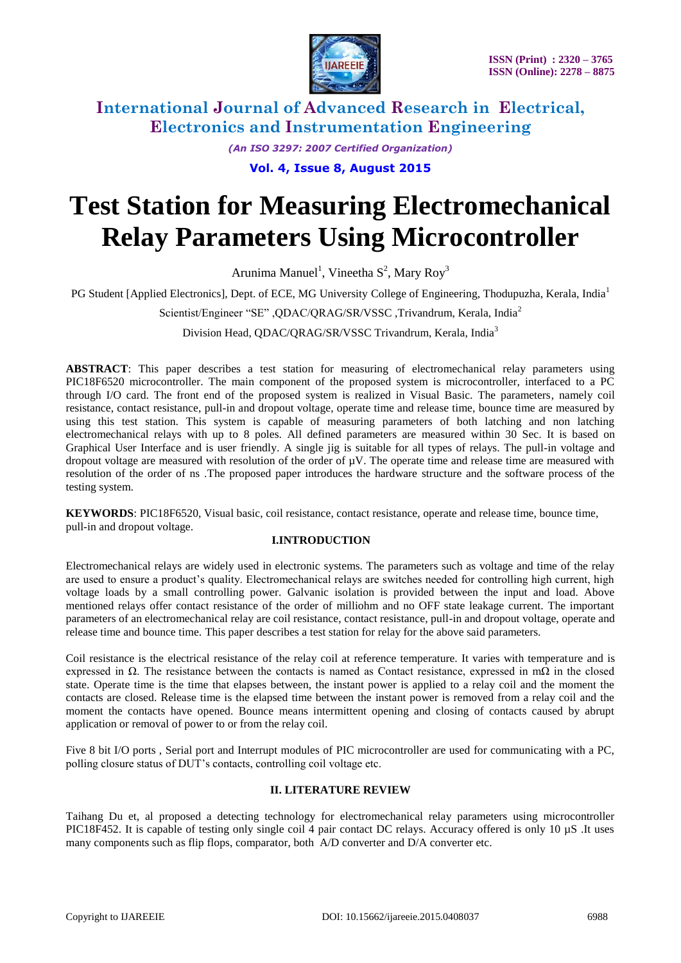

> *(An ISO 3297: 2007 Certified Organization)* **Vol. 4, Issue 8, August 2015**

# **Test Station for Measuring Electromechanical Relay Parameters Using Microcontroller**

Arunima Manuel<sup>1</sup>, Vineetha  $S^2$ , Mary Roy<sup>3</sup>

PG Student [Applied Electronics], Dept. of ECE, MG University College of Engineering, Thodupuzha, Kerala, India<sup>1</sup>

Scientist/Engineer "SE" ,QDAC/QRAG/SR/VSSC ,Trivandrum, Kerala, India<sup>2</sup>

Division Head, QDAC/QRAG/SR/VSSC Trivandrum, Kerala, India<sup>3</sup>

**ABSTRACT**: This paper describes a test station for measuring of electromechanical relay parameters using PIC18F6520 microcontroller. The main component of the proposed system is microcontroller, interfaced to a PC through I/O card. The front end of the proposed system is realized in Visual Basic. The parameters, namely coil resistance, contact resistance, pull-in and dropout voltage, operate time and release time, bounce time are measured by using this test station. This system is capable of measuring parameters of both latching and non latching electromechanical relays with up to 8 poles. All defined parameters are measured within 30 Sec. It is based on Graphical User Interface and is user friendly. A single jig is suitable for all types of relays. The pull-in voltage and dropout voltage are measured with resolution of the order of µV. The operate time and release time are measured with resolution of the order of ns .The proposed paper introduces the hardware structure and the software process of the testing system.

**KEYWORDS**: PIC18F6520, Visual basic, coil resistance, contact resistance, operate and release time, bounce time, pull-in and dropout voltage.

#### **I.INTRODUCTION**

Electromechanical relays are widely used in electronic systems. The parameters such as voltage and time of the relay are used to ensure a product's quality. Electromechanical relays are switches needed for controlling high current, high voltage loads by a small controlling power. Galvanic isolation is provided between the input and load. Above mentioned relays offer contact resistance of the order of milliohm and no OFF state leakage current. The important parameters of an electromechanical relay are coil resistance, contact resistance, pull-in and dropout voltage, operate and release time and bounce time. This paper describes a test station for relay for the above said parameters.

Coil resistance is the electrical resistance of the relay coil at reference temperature. It varies with temperature and is expressed in  $\Omega$ . The resistance between the contacts is named as Contact resistance, expressed in m $\Omega$  in the closed state. Operate time is the time that elapses between, the instant power is applied to a relay coil and the moment the contacts are closed. Release time is the elapsed time between the instant power is removed from a relay coil and the moment the contacts have opened. Bounce means intermittent opening and closing of contacts caused by abrupt application or removal of power to or from the relay coil.

Five 8 bit I/O ports , Serial port and Interrupt modules of PIC microcontroller are used for communicating with a PC, polling closure status of DUT's contacts, controlling coil voltage etc.

#### **II. LITERATURE REVIEW**

Taihang Du et, al proposed a detecting technology for electromechanical relay parameters using microcontroller PIC18F452. It is capable of testing only single coil 4 pair contact DC relays. Accuracy offered is only 10 µS .It uses many components such as flip flops, comparator, both A/D converter and D/A converter etc.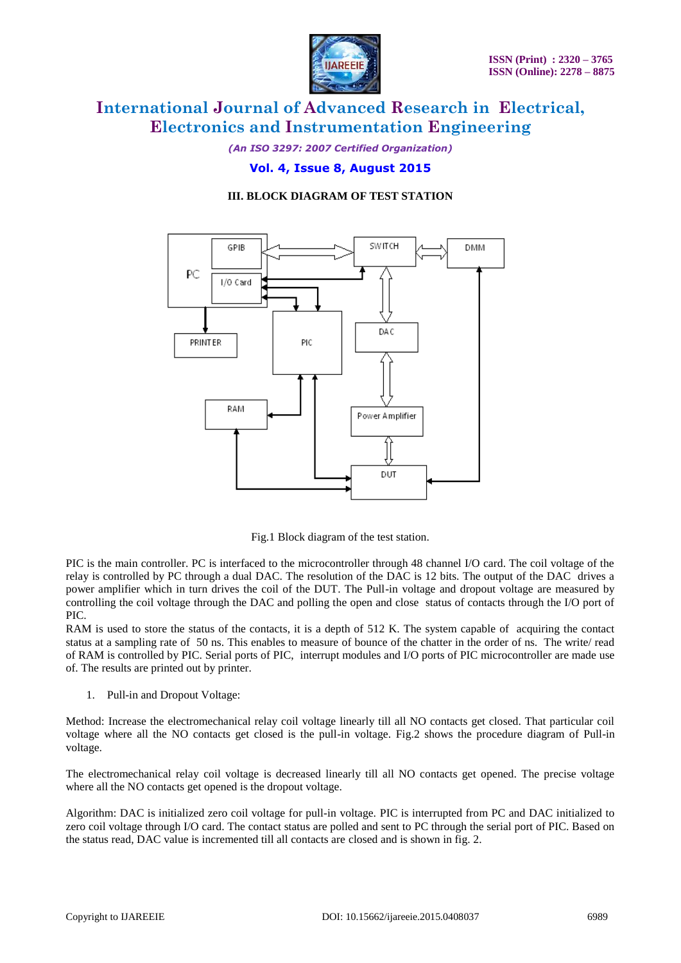

*(An ISO 3297: 2007 Certified Organization)*

### **Vol. 4, Issue 8, August 2015**

### **III. BLOCK DIAGRAM OF TEST STATION**





PIC is the main controller. PC is interfaced to the microcontroller through 48 channel I/O card. The coil voltage of the relay is controlled by PC through a dual DAC. The resolution of the DAC is 12 bits. The output of the DAC drives a power amplifier which in turn drives the coil of the DUT. The Pull-in voltage and dropout voltage are measured by controlling the coil voltage through the DAC and polling the open and close status of contacts through the I/O port of PIC.

RAM is used to store the status of the contacts, it is a depth of 512 K. The system capable of acquiring the contact status at a sampling rate of 50 ns. This enables to measure of bounce of the chatter in the order of ns. The write/ read of RAM is controlled by PIC. Serial ports of PIC, interrupt modules and I/O ports of PIC microcontroller are made use of. The results are printed out by printer.

1. Pull-in and Dropout Voltage:

Method: Increase the electromechanical relay coil voltage linearly till all NO contacts get closed. That particular coil voltage where all the NO contacts get closed is the pull-in voltage. Fig.2 shows the procedure diagram of Pull-in voltage.

The electromechanical relay coil voltage is decreased linearly till all NO contacts get opened. The precise voltage where all the NO contacts get opened is the dropout voltage.

Algorithm: DAC is initialized zero coil voltage for pull-in voltage. PIC is interrupted from PC and DAC initialized to zero coil voltage through I/O card. The contact status are polled and sent to PC through the serial port of PIC. Based on the status read, DAC value is incremented till all contacts are closed and is shown in fig. 2.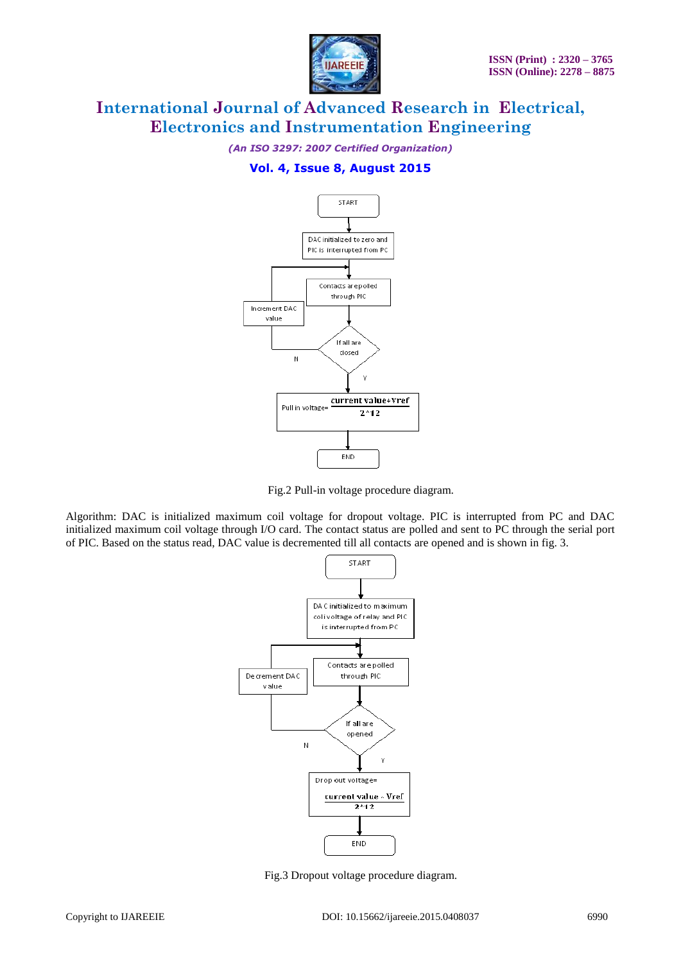

*(An ISO 3297: 2007 Certified Organization)*

# **Vol. 4, Issue 8, August 2015**



Fig.2 Pull-in voltage procedure diagram.

Algorithm: DAC is initialized maximum coil voltage for dropout voltage. PIC is interrupted from PC and DAC initialized maximum coil voltage through I/O card. The contact status are polled and sent to PC through the serial port of PIC. Based on the status read, DAC value is decremented till all contacts are opened and is shown in fig. 3.



Fig.3 Dropout voltage procedure diagram.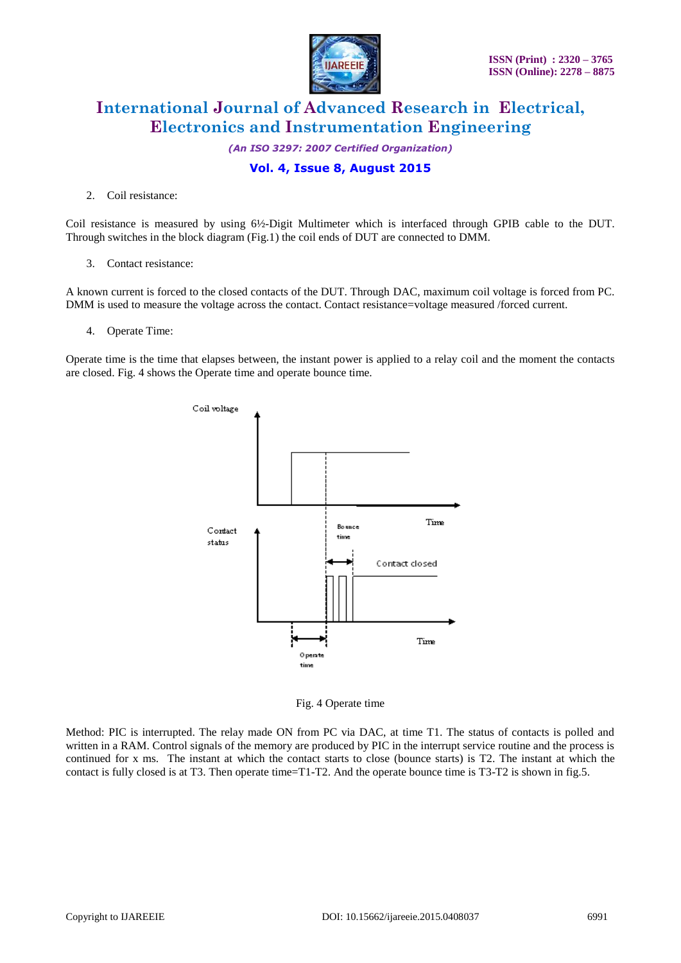

*(An ISO 3297: 2007 Certified Organization)*

### **Vol. 4, Issue 8, August 2015**

2. Coil resistance:

Coil resistance is measured by using 6½-Digit Multimeter which is interfaced through GPIB cable to the DUT. Through switches in the block diagram (Fig.1) the coil ends of DUT are connected to DMM.

3. Contact resistance:

A known current is forced to the closed contacts of the DUT. Through DAC, maximum coil voltage is forced from PC. DMM is used to measure the voltage across the contact. Contact resistance=voltage measured /forced current.

4. Operate Time:

Operate time is the time that elapses between, the instant power is applied to a relay coil and the moment the contacts are closed. Fig. 4 shows the Operate time and operate bounce time.



Fig. 4 Operate time

Method: PIC is interrupted. The relay made ON from PC via DAC, at time T1. The status of contacts is polled and written in a RAM. Control signals of the memory are produced by PIC in the interrupt service routine and the process is continued for x ms. The instant at which the contact starts to close (bounce starts) is T2. The instant at which the contact is fully closed is at T3. Then operate time=T1-T2. And the operate bounce time is T3-T2 is shown in fig.5.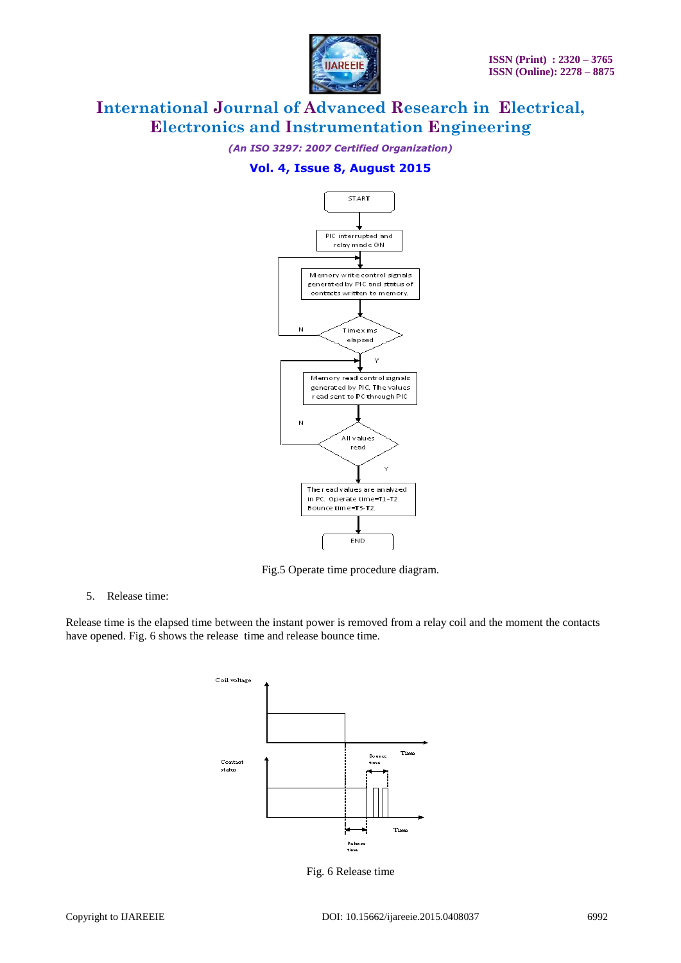

*(An ISO 3297: 2007 Certified Organization)*

## **Vol. 4, Issue 8, August 2015**



Fig.5 Operate time procedure diagram.

5. Release time:

Release time is the elapsed time between the instant power is removed from a relay coil and the moment the contacts have opened. Fig. 6 shows the release time and release bounce time.



Fig. 6 Release time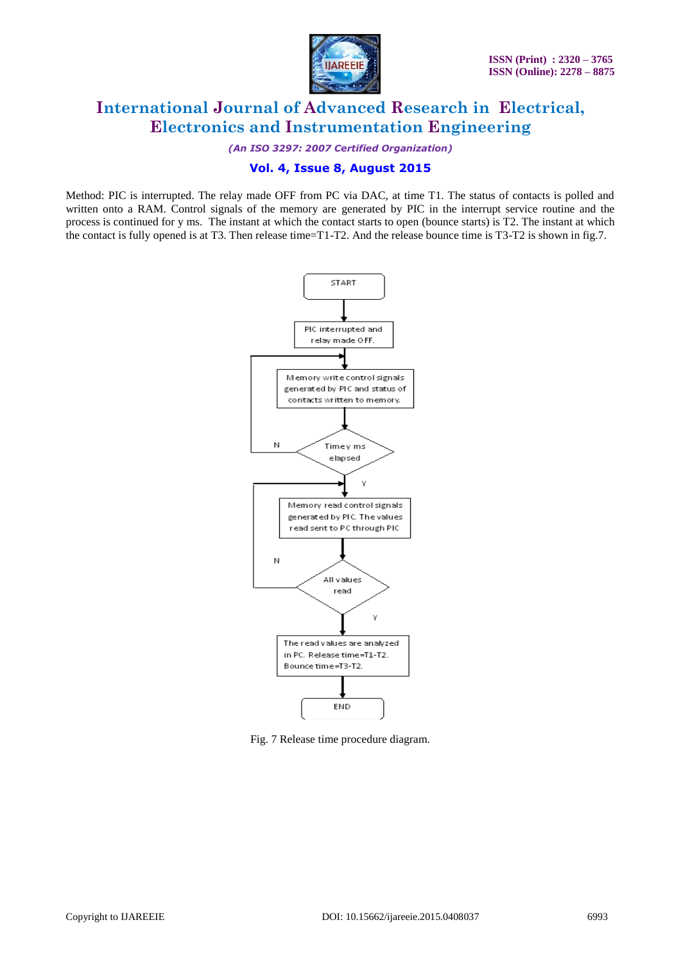

*(An ISO 3297: 2007 Certified Organization)*

### **Vol. 4, Issue 8, August 2015**

Method: PIC is interrupted. The relay made OFF from PC via DAC, at time T1. The status of contacts is polled and written onto a RAM. Control signals of the memory are generated by PIC in the interrupt service routine and the process is continued for y ms. The instant at which the contact starts to open (bounce starts) is T2. The instant at which the contact is fully opened is at T3. Then release time=T1-T2. And the release bounce time is T3-T2 is shown in fig.7.



Fig. 7 Release time procedure diagram.